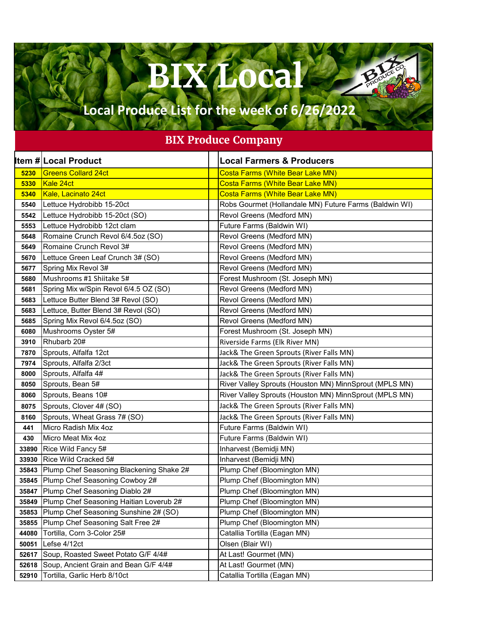## **BIX Local**

Baby

## **Local Produce List for the week of 6/26/2022**

## **BIX Produce Company**

|       | <b>Item # Local Product</b>              | <b>Local Farmers &amp; Producers</b>                   |
|-------|------------------------------------------|--------------------------------------------------------|
| 5230  | <b>Greens Collard 24ct</b>               | <b>Costa Farms (White Bear Lake MN)</b>                |
| 5330  | Kale 24ct                                | <b>Costa Farms (White Bear Lake MN)</b>                |
| 5340  | Kale, Lacinato 24ct                      | <b>Costa Farms (White Bear Lake MN)</b>                |
| 5540  | Lettuce Hydrobibb 15-20ct                | Robs Gourmet (Hollandale MN) Future Farms (Baldwin WI) |
| 5542  | Lettuce Hydrobibb 15-20ct (SO)           | Revol Greens (Medford MN)                              |
| 5553  | Lettuce Hydrobibb 12ct clam              | Future Farms (Baldwin WI)                              |
| 5648  | Romaine Crunch Revol 6/4.5oz (SO)        | Revol Greens (Medford MN)                              |
| 5649  | Romaine Crunch Revol 3#                  | Revol Greens (Medford MN)                              |
| 5670  | Lettuce Green Leaf Crunch 3# (SO)        | Revol Greens (Medford MN)                              |
| 5677  | Spring Mix Revol 3#                      | Revol Greens (Medford MN)                              |
| 5680  | Mushrooms #1 Shiitake 5#                 | Forest Mushroom (St. Joseph MN)                        |
| 5681  | Spring Mix w/Spin Revol 6/4.5 OZ (SO)    | Revol Greens (Medford MN)                              |
| 5683  | Lettuce Butter Blend 3# Revol (SO)       | Revol Greens (Medford MN)                              |
| 5683  | Lettuce, Butter Blend 3# Revol (SO)      | Revol Greens (Medford MN)                              |
| 5685  | Spring Mix Revol 6/4.5oz (SO)            | Revol Greens (Medford MN)                              |
| 6080  | Mushrooms Oyster 5#                      | Forest Mushroom (St. Joseph MN)                        |
| 3910  | Rhubarb 20#                              | Riverside Farms (Elk River MN)                         |
| 7870  | Sprouts, Alfalfa 12ct                    | Jack& The Green Sprouts (River Falls MN)               |
| 7974  | Sprouts, Alfalfa 2/3ct                   | Jack& The Green Sprouts (River Falls MN)               |
| 8000  | Sprouts, Alfalfa 4#                      | Jack& The Green Sprouts (River Falls MN)               |
| 8050  | Sprouts, Bean 5#                         | River Valley Sprouts (Houston MN) MinnSprout (MPLS MN) |
| 8060  | Sprouts, Beans 10#                       | River Valley Sprouts (Houston MN) MinnSprout (MPLS MN) |
| 8075  | Sprouts, Clover 4# (SO)                  | Jack& The Green Sprouts (River Falls MN)               |
| 8160  | Sprouts, Wheat Grass 7# (SO)             | Jack& The Green Sprouts (River Falls MN)               |
| 441   | Micro Radish Mix 4oz                     | Future Farms (Baldwin WI)                              |
| 430   | Micro Meat Mix 4oz                       | Future Farms (Baldwin WI)                              |
| 33890 | Rice Wild Fancy 5#                       | Inharvest (Bemidji MN)                                 |
| 33930 | Rice Wild Cracked 5#                     | Inharvest (Bemidji MN)                                 |
| 35843 | Plump Chef Seasoning Blackening Shake 2# | Plump Chef (Bloomington MN)                            |
| 35845 | Plump Chef Seasoning Cowboy 2#           | Plump Chef (Bloomington MN)                            |
| 35847 | Plump Chef Seasoning Diablo 2#           | Plump Chef (Bloomington MN)                            |
| 35849 | Plump Chef Seasoning Haitian Loverub 2#  | Plump Chef (Bloomington MN)                            |
| 35853 | Plump Chef Seasoning Sunshine 2# (SO)    | Plump Chef (Bloomington MN)                            |
| 35855 | Plump Chef Seasoning Salt Free 2#        | Plump Chef (Bloomington MN)                            |
| 44080 | Tortilla, Corn 3-Color 25#               | Catallia Tortilla (Eagan MN)                           |
| 50051 | Lefse 4/12ct                             | Olsen (Blair WI)                                       |
| 52617 | Soup, Roasted Sweet Potato G/F 4/4#      | At Last! Gourmet (MN)                                  |
| 52618 | Soup, Ancient Grain and Bean G/F 4/4#    | At Last! Gourmet (MN)                                  |
| 52910 | Tortilla, Garlic Herb 8/10ct             | Catallia Tortilla (Eagan MN)                           |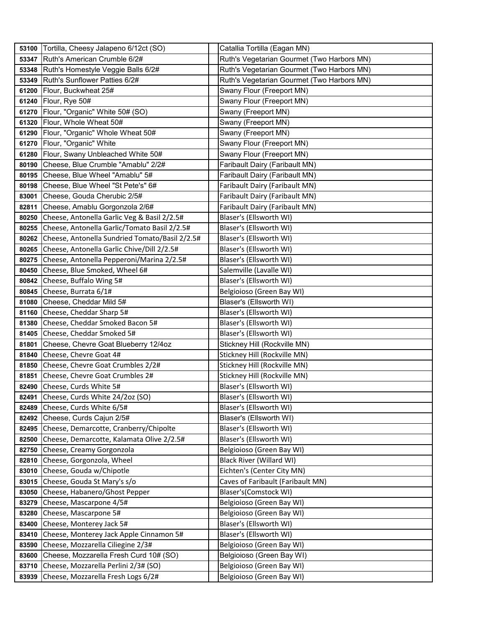| 53100 | Tortilla, Cheesy Jalapeno 6/12ct (SO)          | Catallia Tortilla (Eagan MN)               |
|-------|------------------------------------------------|--------------------------------------------|
| 53347 | Ruth's American Crumble 6/2#                   | Ruth's Vegetarian Gourmet (Two Harbors MN) |
| 53348 | Ruth's Homestyle Veggie Balls 6/2#             | Ruth's Vegetarian Gourmet (Two Harbors MN) |
| 53349 | Ruth's Sunflower Patties 6/2#                  | Ruth's Vegetarian Gourmet (Two Harbors MN) |
| 61200 | Flour, Buckwheat 25#                           | Swany Flour (Freeport MN)                  |
| 61240 | Flour, Rye 50#                                 | Swany Flour (Freeport MN)                  |
| 61270 | Flour, "Organic" White 50# (SO)                | Swany (Freeport MN)                        |
| 61320 | Flour, Whole Wheat 50#                         | Swany (Freeport MN)                        |
| 61290 | Flour, "Organic" Whole Wheat 50#               | Swany (Freeport MN)                        |
| 61270 | Flour, "Organic" White                         | Swany Flour (Freeport MN)                  |
| 61280 | Flour, Swany Unbleached White 50#              | Swany Flour (Freeport MN)                  |
| 80190 | Cheese, Blue Crumble "Amablu" 2/2#             | Faribault Dairy (Faribault MN)             |
| 80195 | Cheese, Blue Wheel "Amablu" 5#                 | Faribault Dairy (Faribault MN)             |
| 80198 | Cheese, Blue Wheel "St Pete's" 6#              | Faribault Dairy (Faribault MN)             |
| 83001 | Cheese, Gouda Cherubic 2/5#                    | Faribault Dairy (Faribault MN)             |
| 82811 | Cheese, Amablu Gorgonzola 2/6#                 | Faribault Dairy (Faribault MN)             |
| 80250 | Cheese, Antonella Garlic Veg & Basil 2/2.5#    | Blaser's (Ellsworth WI)                    |
| 80255 | Cheese, Antonella Garlic/Tomato Basil 2/2.5#   | Blaser's (Ellsworth WI)                    |
| 80262 | Cheese, Antonella Sundried Tomato/Basil 2/2.5# | Blaser's (Ellsworth WI)                    |
| 80265 | Cheese, Antonella Garlic Chive/Dill 2/2.5#     | Blaser's (Ellsworth WI)                    |
| 80275 | Cheese, Antonella Pepperoni/Marina 2/2.5#      | Blaser's (Ellsworth WI)                    |
| 80450 | Cheese, Blue Smoked, Wheel 6#                  | Salemville (Lavalle WI)                    |
| 80842 | Cheese, Buffalo Wing 5#                        | Blaser's (Ellsworth WI)                    |
| 80845 | Cheese, Burrata 6/1#                           | Belgioioso (Green Bay WI)                  |
| 81080 | Cheese, Cheddar Mild 5#                        | Blaser's (Ellsworth WI)                    |
| 81160 | Cheese, Cheddar Sharp 5#                       | Blaser's (Ellsworth WI)                    |
| 81380 | Cheese, Cheddar Smoked Bacon 5#                | Blaser's (Ellsworth WI)                    |
| 81405 | Cheese, Cheddar Smoked 5#                      | Blaser's (Ellsworth WI)                    |
| 81801 | Cheese, Chevre Goat Blueberry 12/4oz           | Stickney Hill (Rockville MN)               |
| 81840 | Cheese, Chevre Goat 4#                         | Stickney Hill (Rockville MN)               |
| 81850 | Cheese, Chevre Goat Crumbles 2/2#              | Stickney Hill (Rockville MN)               |
| 81851 | Cheese, Chevre Goat Crumbles 2#                | Stickney Hill (Rockville MN)               |
| 82490 | Cheese, Curds White 5#                         | Blaser's (Ellsworth WI)                    |
| 82491 | Cheese, Curds White 24/2oz (SO)                | Blaser's (Ellsworth WI)                    |
| 82489 | Cheese, Curds White 6/5#                       | Blaser's (Ellsworth WI)                    |
| 82492 | Cheese, Curds Cajun 2/5#                       | Blaser's (Ellsworth WI)                    |
| 82495 | Cheese, Demarcotte, Cranberry/Chipolte         | Blaser's (Ellsworth WI)                    |
| 82500 | Cheese, Demarcotte, Kalamata Olive 2/2.5#      | Blaser's (Ellsworth WI)                    |
| 82750 | Cheese, Creamy Gorgonzola                      | Belgioioso (Green Bay WI)                  |
| 82810 | Cheese, Gorgonzola, Wheel                      | <b>Black River (Willard WI)</b>            |
| 83010 | Cheese, Gouda w/Chipotle                       | Eichten's (Center City MN)                 |
| 83015 | Cheese, Gouda St Mary's s/o                    | Caves of Faribault (Faribault MN)          |
| 83050 | Cheese, Habanero/Ghost Pepper                  | Blaser's (Comstock WI)                     |
| 83279 | Cheese, Mascarpone 4/5#                        | Belgioioso (Green Bay WI)                  |
| 83280 | Cheese, Mascarpone 5#                          | Belgioioso (Green Bay WI)                  |
| 83400 | Cheese, Monterey Jack 5#                       | Blaser's (Ellsworth WI)                    |
| 83410 | Cheese, Monterey Jack Apple Cinnamon 5#        | Blaser's (Ellsworth WI)                    |
| 83590 | Cheese, Mozzarella Ciliegine 2/3#              | Belgioioso (Green Bay WI)                  |
| 83600 | Cheese, Mozzarella Fresh Curd 10# (SO)         | Belgioioso (Green Bay WI)                  |
| 83710 | Cheese, Mozzarella Perlini 2/3# (SO)           | Belgioioso (Green Bay WI)                  |
| 83939 | Cheese, Mozzarella Fresh Logs 6/2#             | Belgioioso (Green Bay WI)                  |